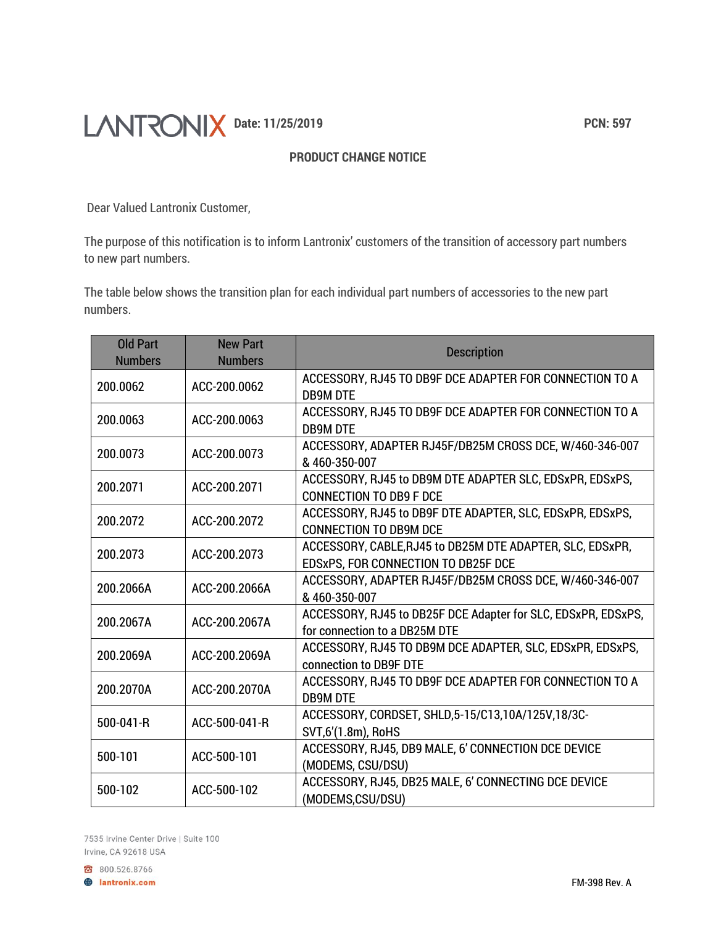## **DANTRONIX** Date: 11/25/2019<br> **Date:** 11/25/2019

## **PRODUCT CHANGE NOTICE**

Dear Valued Lantronix Customer,

The purpose of this notification is to inform Lantronix' customers of the transition of accessory part numbers to new part numbers.

The table below shows the transition plan for each individual part numbers of accessories to the new part numbers.

| <b>Old Part</b><br><b>Numbers</b> | <b>New Part</b><br><b>Numbers</b> | <b>Description</b>                                                                               |
|-----------------------------------|-----------------------------------|--------------------------------------------------------------------------------------------------|
| 200.0062                          | ACC-200.0062                      | ACCESSORY, RJ45 TO DB9F DCE ADAPTER FOR CONNECTION TO A<br><b>DB9M DTE</b>                       |
| 200.0063                          | ACC-200.0063                      | ACCESSORY, RJ45 TO DB9F DCE ADAPTER FOR CONNECTION TO A<br><b>DB9M DTE</b>                       |
| 200.0073                          | ACC-200.0073                      | ACCESSORY, ADAPTER RJ45F/DB25M CROSS DCE, W/460-346-007<br>&460-350-007                          |
| 200.2071                          | ACC-200.2071                      | ACCESSORY, RJ45 to DB9M DTE ADAPTER SLC, EDSxPR, EDSxPS,<br><b>CONNECTION TO DB9 F DCE</b>       |
| 200.2072                          | ACC-200.2072                      | ACCESSORY, RJ45 to DB9F DTE ADAPTER, SLC, EDSxPR, EDSxPS,<br><b>CONNECTION TO DB9M DCE</b>       |
| 200.2073                          | ACC-200.2073                      | ACCESSORY, CABLE, RJ45 to DB25M DTE ADAPTER, SLC, EDSxPR,<br>EDSxPS, FOR CONNECTION TO DB25F DCE |
| 200.2066A                         | ACC-200.2066A                     | ACCESSORY, ADAPTER RJ45F/DB25M CROSS DCE, W/460-346-007<br>&460-350-007                          |
| 200.2067A                         | ACC-200.2067A                     | ACCESSORY, RJ45 to DB25F DCE Adapter for SLC, EDSxPR, EDSxPS,<br>for connection to a DB25M DTE   |
| 200.2069A                         | ACC-200.2069A                     | ACCESSORY, RJ45 TO DB9M DCE ADAPTER, SLC, EDSxPR, EDSxPS,<br>connection to DB9F DTE              |
| 200.2070A                         | ACC-200.2070A                     | ACCESSORY, RJ45 TO DB9F DCE ADAPTER FOR CONNECTION TO A<br><b>DB9M DTE</b>                       |
| 500-041-R                         | ACC-500-041-R                     | ACCESSORY, CORDSET, SHLD, 5-15/C13, 10A/125V, 18/3C-<br>SVT,6'(1.8m), RoHS                       |
| 500-101                           | ACC-500-101                       | ACCESSORY, RJ45, DB9 MALE, 6' CONNECTION DCE DEVICE<br>(MODEMS, CSU/DSU)                         |
| 500-102                           | ACC-500-102                       | ACCESSORY, RJ45, DB25 MALE, 6' CONNECTING DCE DEVICE<br>(MODEMS,CSU/DSU)                         |

7535 Irvine Center Drive | Suite 100 Irvine, CA 92618 USA

800.526.8766

**A** lantronix.com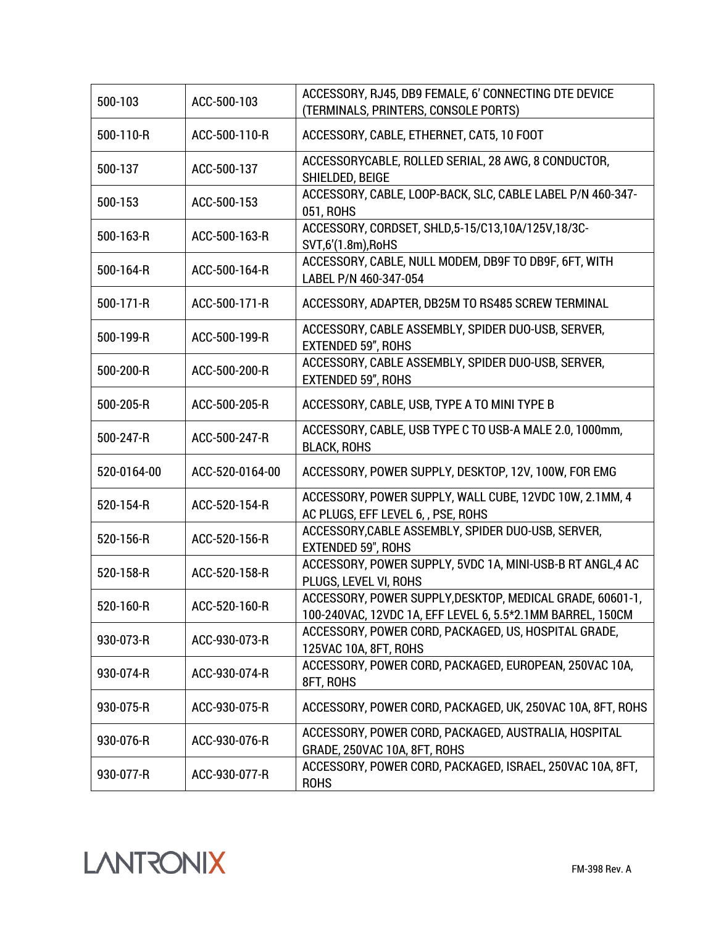| 500-103     | ACC-500-103     | ACCESSORY, RJ45, DB9 FEMALE, 6' CONNECTING DTE DEVICE<br>(TERMINALS, PRINTERS, CONSOLE PORTS)                           |
|-------------|-----------------|-------------------------------------------------------------------------------------------------------------------------|
| 500-110-R   | ACC-500-110-R   | ACCESSORY, CABLE, ETHERNET, CAT5, 10 FOOT                                                                               |
| 500-137     | ACC-500-137     | ACCESSORYCABLE, ROLLED SERIAL, 28 AWG, 8 CONDUCTOR,<br>SHIELDED, BEIGE                                                  |
| 500-153     | ACC-500-153     | ACCESSORY, CABLE, LOOP-BACK, SLC, CABLE LABEL P/N 460-347-<br>051, ROHS                                                 |
| 500-163-R   | ACC-500-163-R   | ACCESSORY, CORDSET, SHLD, 5-15/C13, 10A/125V, 18/3C-<br>SVT,6'(1.8m), RoHS                                              |
| 500-164-R   | ACC-500-164-R   | ACCESSORY, CABLE, NULL MODEM, DB9F TO DB9F, 6FT, WITH<br>LABEL P/N 460-347-054                                          |
| 500-171-R   | ACC-500-171-R   | ACCESSORY, ADAPTER, DB25M TO RS485 SCREW TERMINAL                                                                       |
| 500-199-R   | ACC-500-199-R   | ACCESSORY, CABLE ASSEMBLY, SPIDER DUO-USB, SERVER,<br><b>EXTENDED 59", ROHS</b>                                         |
| 500-200-R   | ACC-500-200-R   | ACCESSORY, CABLE ASSEMBLY, SPIDER DUO-USB, SERVER,<br><b>EXTENDED 59", ROHS</b>                                         |
| 500-205-R   | ACC-500-205-R   | ACCESSORY, CABLE, USB, TYPE A TO MINI TYPE B                                                                            |
| 500-247-R   | ACC-500-247-R   | ACCESSORY, CABLE, USB TYPE C TO USB-A MALE 2.0, 1000mm,<br><b>BLACK, ROHS</b>                                           |
| 520-0164-00 | ACC-520-0164-00 | ACCESSORY, POWER SUPPLY, DESKTOP, 12V, 100W, FOR EMG                                                                    |
| 520-154-R   | ACC-520-154-R   | ACCESSORY, POWER SUPPLY, WALL CUBE, 12VDC 10W, 2.1MM, 4<br>AC PLUGS, EFF LEVEL 6, , PSE, ROHS                           |
| 520-156-R   | ACC-520-156-R   | ACCESSORY, CABLE ASSEMBLY, SPIDER DUO-USB, SERVER,<br><b>EXTENDED 59", ROHS</b>                                         |
| 520-158-R   | ACC-520-158-R   | ACCESSORY, POWER SUPPLY, 5VDC 1A, MINI-USB-B RT ANGL, 4 AC<br>PLUGS, LEVEL VI, ROHS                                     |
| 520-160-R   | ACC-520-160-R   | ACCESSORY, POWER SUPPLY, DESKTOP, MEDICAL GRADE, 60601-1,<br>100-240VAC, 12VDC 1A, EFF LEVEL 6, 5.5*2.1MM BARREL, 150CM |
| 930-073-R   | ACC-930-073-R   | ACCESSORY, POWER CORD, PACKAGED, US, HOSPITAL GRADE,<br>125VAC 10A, 8FT, ROHS                                           |
| 930-074-R   | ACC-930-074-R   | ACCESSORY, POWER CORD, PACKAGED, EUROPEAN, 250VAC 10A,<br>8FT, ROHS                                                     |
| 930-075-R   | ACC-930-075-R   | ACCESSORY, POWER CORD, PACKAGED, UK, 250VAC 10A, 8FT, ROHS                                                              |
| 930-076-R   | ACC-930-076-R   | ACCESSORY, POWER CORD, PACKAGED, AUSTRALIA, HOSPITAL<br>GRADE, 250VAC 10A, 8FT, ROHS                                    |
| 930-077-R   | ACC-930-077-R   | ACCESSORY, POWER CORD, PACKAGED, ISRAEL, 250VAC 10A, 8FT,<br><b>ROHS</b>                                                |